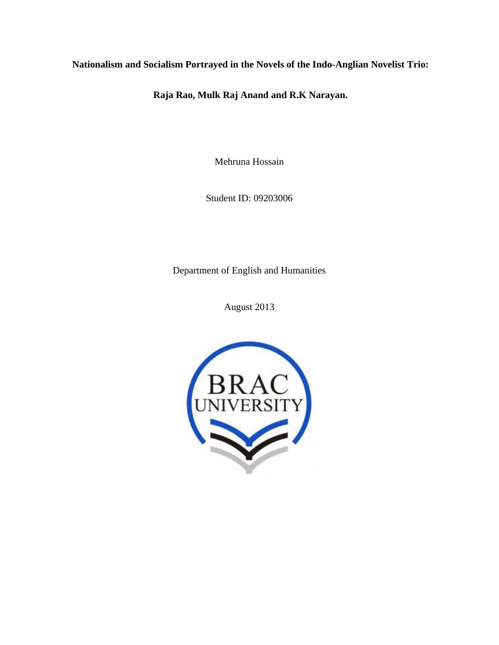**Nationalism and Socialism Portrayed in the Novels of the Indo-Anglian Novelist Trio:** 

 **Raja Rao, Mulk Raj Anand and R.K Narayan.**

Mehruna Hossain

Student ID: 09203006

Department of English and Humanities

August 2013

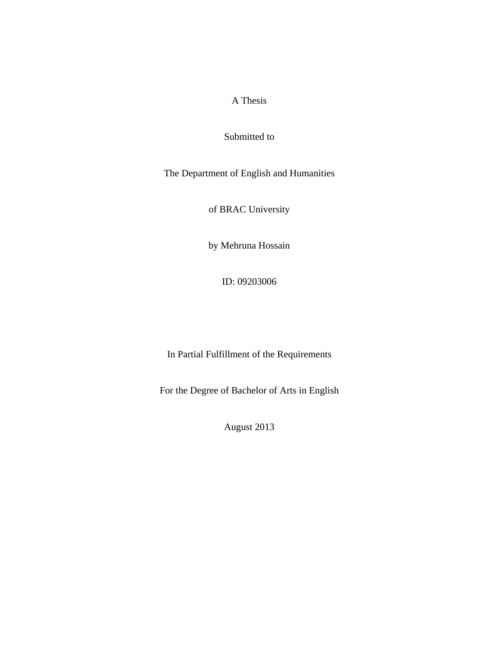# A Thesis

Submitted to

The Department of English and Humanities

of BRAC University

by Mehruna Hossain

ID: 09203006

In Partial Fulfillment of the Requirements

For the Degree of Bachelor of Arts in English

August 2013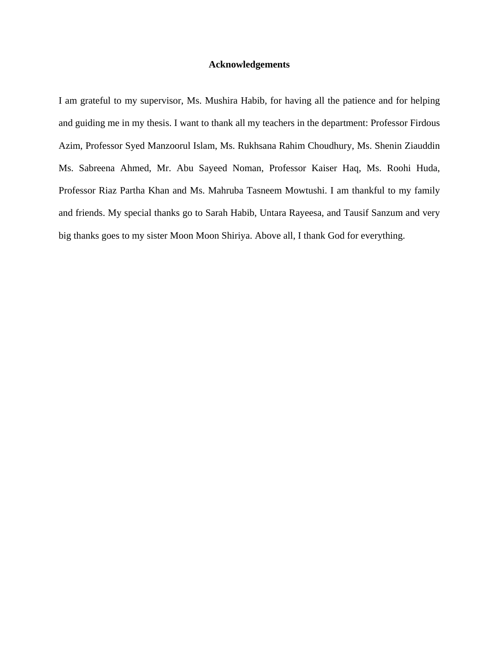# **Acknowledgements**

I am grateful to my supervisor, Ms. Mushira Habib, for having all the patience and for helping and guiding me in my thesis. I want to thank all my teachers in the department: Professor Firdous Azim, Professor Syed Manzoorul Islam, Ms. Rukhsana Rahim Choudhury, Ms. Shenin Ziauddin Ms. Sabreena Ahmed, Mr. Abu Sayeed Noman, Professor Kaiser Haq, Ms. Roohi Huda, Professor Riaz Partha Khan and Ms. Mahruba Tasneem Mowtushi. I am thankful to my family and friends. My special thanks go to Sarah Habib, Untara Rayeesa, and Tausif Sanzum and very big thanks goes to my sister Moon Moon Shiriya. Above all, I thank God for everything.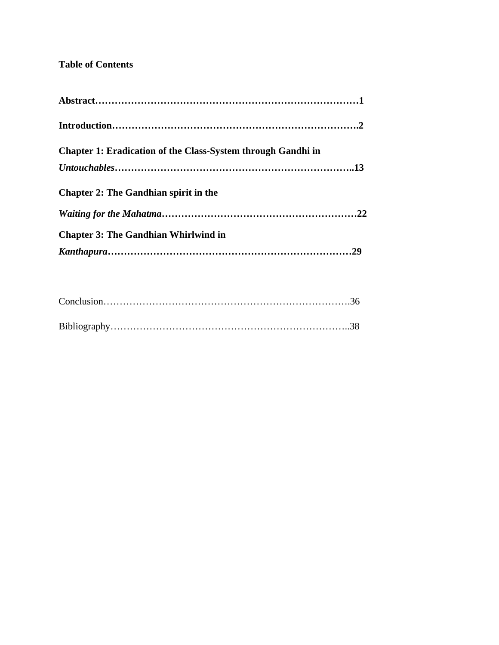# **Table of Contents**

| <b>Chapter 1: Eradication of the Class-System through Gandhi in</b> |  |
|---------------------------------------------------------------------|--|
|                                                                     |  |
| <b>Chapter 2: The Gandhian spirit in the</b>                        |  |
|                                                                     |  |
| <b>Chapter 3: The Gandhian Whirlwind in</b>                         |  |
|                                                                     |  |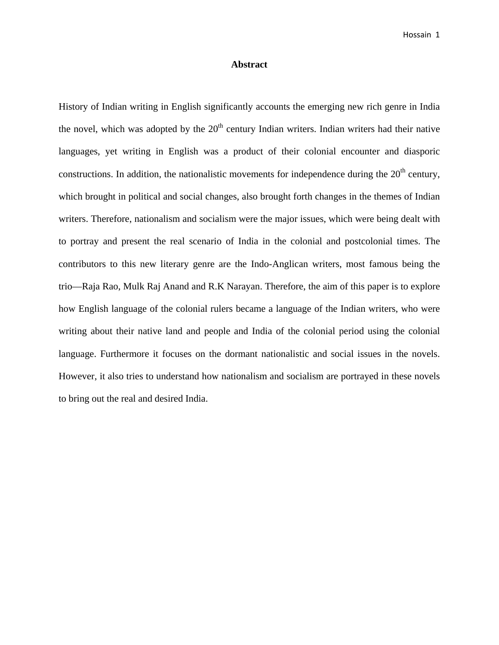# **Abstract**

History of Indian writing in English significantly accounts the emerging new rich genre in India the novel, which was adopted by the  $20<sup>th</sup>$  century Indian writers. Indian writers had their native languages, yet writing in English was a product of their colonial encounter and diasporic constructions. In addition, the nationalistic movements for independence during the  $20<sup>th</sup>$  century, which brought in political and social changes, also brought forth changes in the themes of Indian writers. Therefore, nationalism and socialism were the major issues, which were being dealt with to portray and present the real scenario of India in the colonial and postcolonial times. The contributors to this new literary genre are the Indo-Anglican writers, most famous being the trio—Raja Rao, Mulk Raj Anand and R.K Narayan. Therefore, the aim of this paper is to explore how English language of the colonial rulers became a language of the Indian writers, who were writing about their native land and people and India of the colonial period using the colonial language. Furthermore it focuses on the dormant nationalistic and social issues in the novels. However, it also tries to understand how nationalism and socialism are portrayed in these novels to bring out the real and desired India.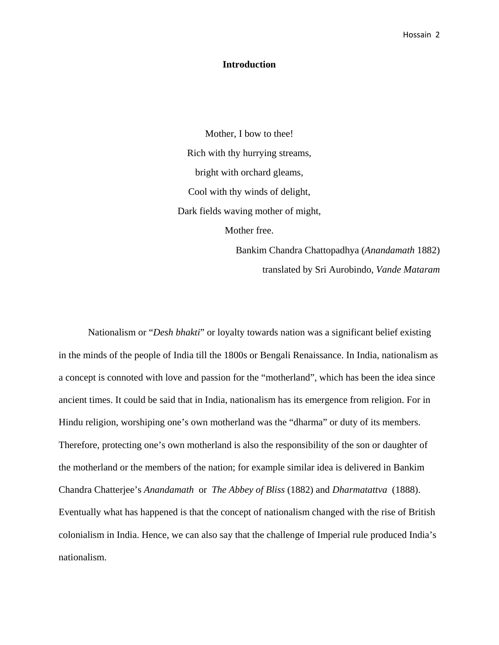# **Introduction**

Mother, I bow to thee! Rich with thy hurrying streams, bright with orchard gleams, Cool with thy winds of delight, Dark fields waving mother of might, Mother free.

> Bankim Chandra Chattopadhya (*Anandamath* 1882) translated by Sri Aurobindo, *Vande Mataram*

Nationalism or "*Desh bhakti*" or loyalty towards nation was a significant belief existing in the minds of the people of India till the 1800s or Bengali Renaissance. In India, nationalism as a concept is connoted with love and passion for the "motherland", which has been the idea since ancient times. It could be said that in India, nationalism has its emergence from religion. For in Hindu religion, worshiping one's own motherland was the "dharma" or duty of its members. Therefore, protecting one's own motherland is also the responsibility of the son or daughter of the motherland or the members of the nation; for example similar idea is delivered in Bankim Chandra Chatterjee's *Anandamath* or *The Abbey of Bliss* (1882) and *Dharmatattva* (1888). Eventually what has happened is that the concept of nationalism changed with the rise of British colonialism in India. Hence, we can also say that the challenge of Imperial rule produced India's nationalism.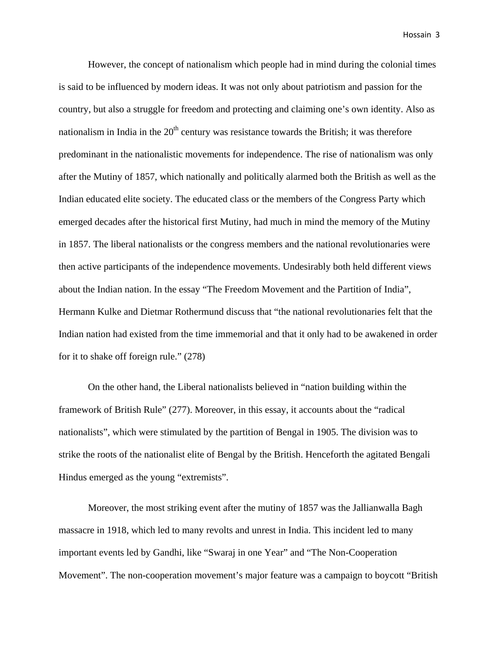However, the concept of nationalism which people had in mind during the colonial times is said to be influenced by modern ideas. It was not only about patriotism and passion for the country, but also a struggle for freedom and protecting and claiming one's own identity. Also as nationalism in India in the  $20<sup>th</sup>$  century was resistance towards the British; it was therefore predominant in the nationalistic movements for independence. The rise of nationalism was only after the Mutiny of 1857, which nationally and politically alarmed both the British as well as the Indian educated elite society. The educated class or the members of the Congress Party which emerged decades after the historical first Mutiny, had much in mind the memory of the Mutiny in 1857. The liberal nationalists or the congress members and the national revolutionaries were then active participants of the independence movements. Undesirably both held different views about the Indian nation. In the essay "The Freedom Movement and the Partition of India", Hermann Kulke and Dietmar Rothermund discuss that "the national revolutionaries felt that the Indian nation had existed from the time immemorial and that it only had to be awakened in order for it to shake off foreign rule." (278)

On the other hand, the Liberal nationalists believed in "nation building within the framework of British Rule" (277). Moreover, in this essay, it accounts about the "radical nationalists", which were stimulated by the partition of Bengal in 1905. The division was to strike the roots of the nationalist elite of Bengal by the British. Henceforth the agitated Bengali Hindus emerged as the young "extremists".

Moreover, the most striking event after the mutiny of 1857 was the Jallianwalla Bagh massacre in 1918, which led to many revolts and unrest in India. This incident led to many important events led by Gandhi, like "Swaraj in one Year" and "The Non-Cooperation Movement". The non-cooperation movement's major feature was a campaign to boycott "British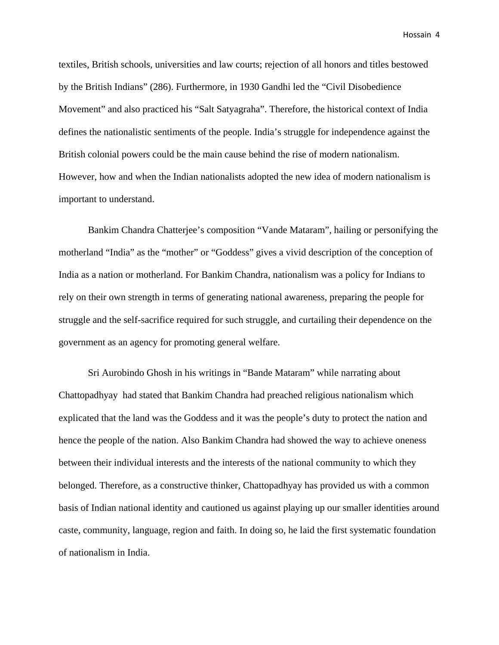textiles, British schools, universities and law courts; rejection of all honors and titles bestowed by the British Indians" (286). Furthermore, in 1930 Gandhi led the "Civil Disobedience Movement" and also practiced his "Salt Satyagraha". Therefore, the historical context of India defines the nationalistic sentiments of the people. India's struggle for independence against the British colonial powers could be the main cause behind the rise of modern nationalism. However, how and when the Indian nationalists adopted the new idea of modern nationalism is important to understand.

Bankim Chandra Chatterjee's composition "Vande Mataram", hailing or personifying the motherland "India" as the "mother" or "Goddess" gives a vivid description of the conception of India as a nation or motherland. For Bankim Chandra, nationalism was a policy for Indians to rely on their own strength in terms of generating national awareness, preparing the people for struggle and the self-sacrifice required for such struggle, and curtailing their dependence on the government as an agency for promoting general welfare.

Sri Aurobindo Ghosh in his writings in "Bande Mataram" while narrating about Chattopadhyay had stated that Bankim Chandra had preached religious nationalism which explicated that the land was the Goddess and it was the people's duty to protect the nation and hence the people of the nation. Also Bankim Chandra had showed the way to achieve oneness between their individual interests and the interests of the national community to which they belonged. Therefore, as a constructive thinker, Chattopadhyay has provided us with a common basis of Indian national identity and cautioned us against playing up our smaller identities around caste, community, language, region and faith. In doing so, he laid the first systematic foundation of nationalism in India.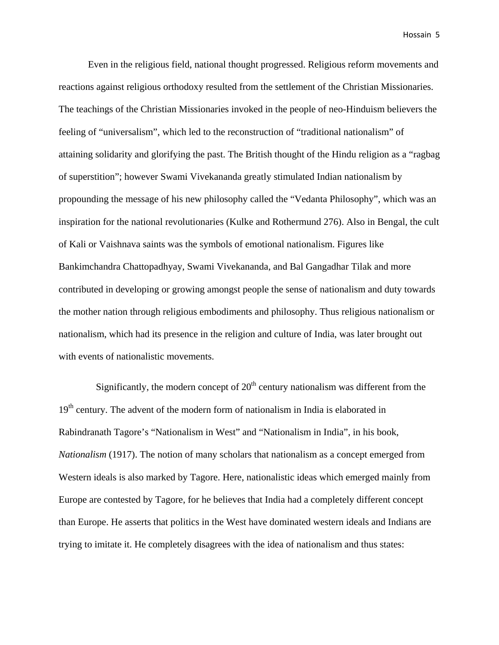Even in the religious field, national thought progressed. Religious reform movements and reactions against religious orthodoxy resulted from the settlement of the Christian Missionaries. The teachings of the Christian Missionaries invoked in the people of neo-Hinduism believers the feeling of "universalism", which led to the reconstruction of "traditional nationalism" of attaining solidarity and glorifying the past. The British thought of the Hindu religion as a "ragbag of superstition"; however Swami Vivekananda greatly stimulated Indian nationalism by propounding the message of his new philosophy called the "Vedanta Philosophy", which was an inspiration for the national revolutionaries (Kulke and Rothermund 276). Also in Bengal, the cult of Kali or Vaishnava saints was the symbols of emotional nationalism. Figures like Bankimchandra Chattopadhyay, Swami Vivekananda, and Bal Gangadhar Tilak and more contributed in developing or growing amongst people the sense of nationalism and duty towards the mother nation through religious embodiments and philosophy. Thus religious nationalism or nationalism, which had its presence in the religion and culture of India, was later brought out with events of nationalistic movements.

Significantly, the modern concept of  $20<sup>th</sup>$  century nationalism was different from the 19<sup>th</sup> century. The advent of the modern form of nationalism in India is elaborated in Rabindranath Tagore's "Nationalism in West" and "Nationalism in India", in his book, *Nationalism* (1917). The notion of many scholars that nationalism as a concept emerged from Western ideals is also marked by Tagore. Here, nationalistic ideas which emerged mainly from Europe are contested by Tagore, for he believes that India had a completely different concept than Europe. He asserts that politics in the West have dominated western ideals and Indians are trying to imitate it. He completely disagrees with the idea of nationalism and thus states: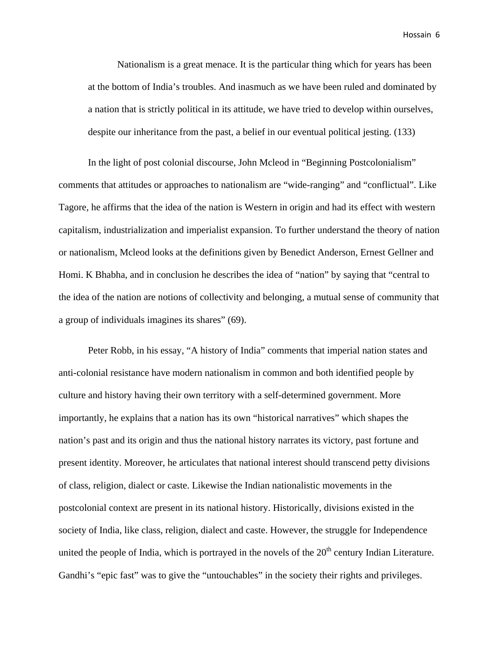Nationalism is a great menace. It is the particular thing which for years has been at the bottom of India's troubles. And inasmuch as we have been ruled and dominated by a nation that is strictly political in its attitude, we have tried to develop within ourselves, despite our inheritance from the past, a belief in our eventual political jesting. (133)

In the light of post colonial discourse, John Mcleod in "Beginning Postcolonialism" comments that attitudes or approaches to nationalism are "wide-ranging" and "conflictual". Like Tagore, he affirms that the idea of the nation is Western in origin and had its effect with western capitalism, industrialization and imperialist expansion. To further understand the theory of nation or nationalism, Mcleod looks at the definitions given by Benedict Anderson, Ernest Gellner and Homi. K Bhabha, and in conclusion he describes the idea of "nation" by saying that "central to the idea of the nation are notions of collectivity and belonging, a mutual sense of community that a group of individuals imagines its shares" (69).

Peter Robb, in his essay, "A history of India" comments that imperial nation states and anti-colonial resistance have modern nationalism in common and both identified people by culture and history having their own territory with a self-determined government. More importantly, he explains that a nation has its own "historical narratives" which shapes the nation's past and its origin and thus the national history narrates its victory, past fortune and present identity. Moreover, he articulates that national interest should transcend petty divisions of class, religion, dialect or caste. Likewise the Indian nationalistic movements in the postcolonial context are present in its national history. Historically, divisions existed in the society of India, like class, religion, dialect and caste. However, the struggle for Independence united the people of India, which is portrayed in the novels of the  $20<sup>th</sup>$  century Indian Literature. Gandhi's "epic fast" was to give the "untouchables" in the society their rights and privileges.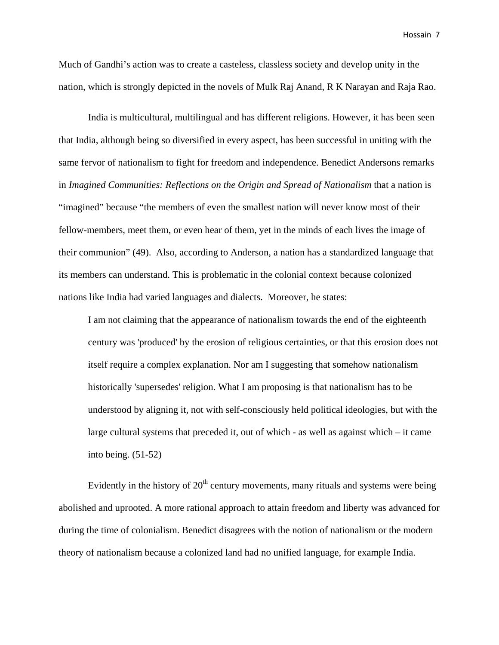Much of Gandhi's action was to create a casteless, classless society and develop unity in the nation, which is strongly depicted in the novels of Mulk Raj Anand, R K Narayan and Raja Rao.

India is multicultural, multilingual and has different religions. However, it has been seen that India, although being so diversified in every aspect, has been successful in uniting with the same fervor of nationalism to fight for freedom and independence. Benedict Andersons remarks in *Imagined Communities: Reflections on the Origin and Spread of Nationalism* that a nation is "imagined" because "the members of even the smallest nation will never know most of their fellow-members, meet them, or even hear of them, yet in the minds of each lives the image of their communion" (49). Also, according to Anderson, a nation has a standardized language that its members can understand. This is problematic in the colonial context because colonized nations like India had varied languages and dialects. Moreover, he states:

I am not claiming that the appearance of nationalism towards the end of the eighteenth century was 'produced' by the erosion of religious certainties, or that this erosion does not itself require a complex explanation. Nor am I suggesting that somehow nationalism historically 'supersedes' religion. What I am proposing is that nationalism has to be understood by aligning it, not with self-consciously held political ideologies, but with the large cultural systems that preceded it, out of which - as well as against which – it came into being. (51-52)

Evidently in the history of  $20<sup>th</sup>$  century movements, many rituals and systems were being abolished and uprooted. A more rational approach to attain freedom and liberty was advanced for during the time of colonialism. Benedict disagrees with the notion of nationalism or the modern theory of nationalism because a colonized land had no unified language, for example India.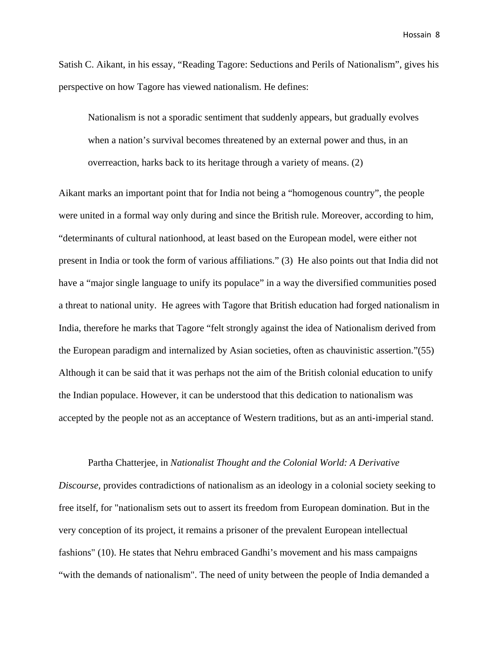Satish C. Aikant, in his essay, "Reading Tagore: Seductions and Perils of Nationalism", gives his perspective on how Tagore has viewed nationalism. He defines:

Nationalism is not a sporadic sentiment that suddenly appears, but gradually evolves when a nation's survival becomes threatened by an external power and thus, in an overreaction, harks back to its heritage through a variety of means. (2)

Aikant marks an important point that for India not being a "homogenous country", the people were united in a formal way only during and since the British rule. Moreover, according to him, "determinants of cultural nationhood, at least based on the European model, were either not present in India or took the form of various affiliations." (3) He also points out that India did not have a "major single language to unify its populace" in a way the diversified communities posed a threat to national unity. He agrees with Tagore that British education had forged nationalism in India, therefore he marks that Tagore "felt strongly against the idea of Nationalism derived from the European paradigm and internalized by Asian societies, often as chauvinistic assertion."(55) Although it can be said that it was perhaps not the aim of the British colonial education to unify the Indian populace. However, it can be understood that this dedication to nationalism was accepted by the people not as an acceptance of Western traditions, but as an anti-imperial stand.

#### Partha Chatterjee, in *Nationalist Thought and the Colonial World: A Derivative*

*Discourse,* provides contradictions of nationalism as an ideology in a colonial society seeking to free itself, for "nationalism sets out to assert its freedom from European domination. But in the very conception of its project, it remains a prisoner of the prevalent European intellectual fashions" (10). He states that Nehru embraced Gandhi's movement and his mass campaigns "with the demands of nationalism". The need of unity between the people of India demanded a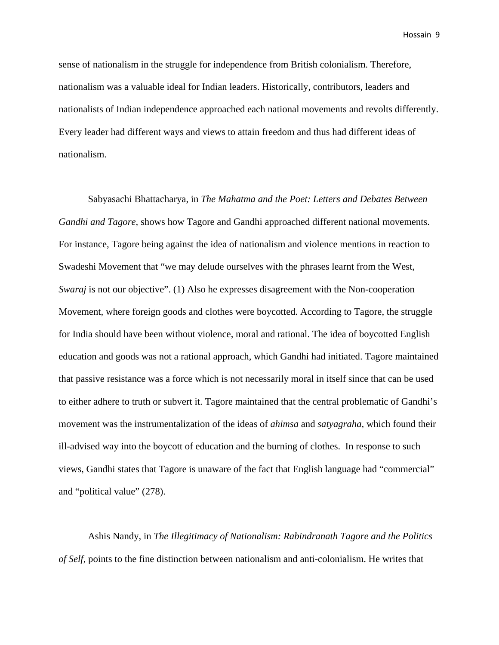sense of nationalism in the struggle for independence from British colonialism. Therefore, nationalism was a valuable ideal for Indian leaders. Historically, contributors, leaders and nationalists of Indian independence approached each national movements and revolts differently. Every leader had different ways and views to attain freedom and thus had different ideas of nationalism.

Sabyasachi Bhattacharya, in *The Mahatma and the Poet: Letters and Debates Between Gandhi and Tagore,* shows how Tagore and Gandhi approached different national movements. For instance, Tagore being against the idea of nationalism and violence mentions in reaction to Swadeshi Movement that "we may delude ourselves with the phrases learnt from the West, *Swaraj* is not our objective". (1) Also he expresses disagreement with the Non-cooperation Movement, where foreign goods and clothes were boycotted. According to Tagore, the struggle for India should have been without violence, moral and rational. The idea of boycotted English education and goods was not a rational approach, which Gandhi had initiated. Tagore maintained that passive resistance was a force which is not necessarily moral in itself since that can be used to either adhere to truth or subvert it. Tagore maintained that the central problematic of Gandhi's movement was the instrumentalization of the ideas of *ahimsa* and *satyagraha,* which found their ill-advised way into the boycott of education and the burning of clothes. In response to such views, Gandhi states that Tagore is unaware of the fact that English language had "commercial" and "political value" (278).

Ashis Nandy, in *The Illegitimacy of Nationalism: Rabindranath Tagore and the Politics of Self*, points to the fine distinction between nationalism and anti-colonialism. He writes that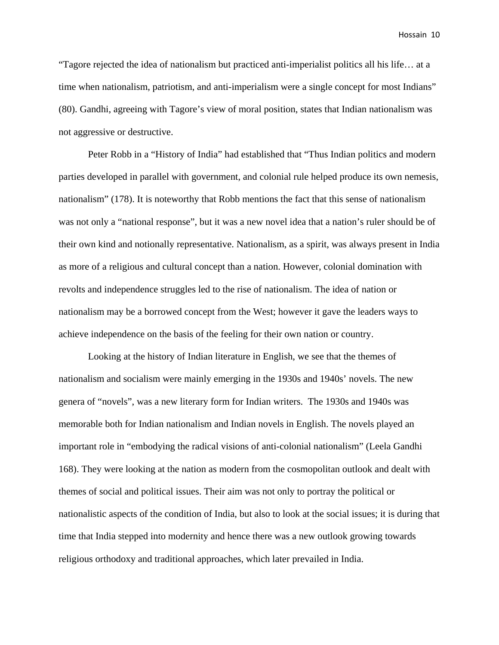"Tagore rejected the idea of nationalism but practiced anti-imperialist politics all his life… at a time when nationalism, patriotism, and anti-imperialism were a single concept for most Indians" (80). Gandhi, agreeing with Tagore's view of moral position, states that Indian nationalism was not aggressive or destructive.

Peter Robb in a "History of India" had established that "Thus Indian politics and modern parties developed in parallel with government, and colonial rule helped produce its own nemesis, nationalism" (178). It is noteworthy that Robb mentions the fact that this sense of nationalism was not only a "national response", but it was a new novel idea that a nation's ruler should be of their own kind and notionally representative. Nationalism, as a spirit, was always present in India as more of a religious and cultural concept than a nation. However, colonial domination with revolts and independence struggles led to the rise of nationalism. The idea of nation or nationalism may be a borrowed concept from the West; however it gave the leaders ways to achieve independence on the basis of the feeling for their own nation or country.

Looking at the history of Indian literature in English, we see that the themes of nationalism and socialism were mainly emerging in the 1930s and 1940s' novels. The new genera of "novels", was a new literary form for Indian writers. The 1930s and 1940s was memorable both for Indian nationalism and Indian novels in English. The novels played an important role in "embodying the radical visions of anti-colonial nationalism" (Leela Gandhi 168). They were looking at the nation as modern from the cosmopolitan outlook and dealt with themes of social and political issues. Their aim was not only to portray the political or nationalistic aspects of the condition of India, but also to look at the social issues; it is during that time that India stepped into modernity and hence there was a new outlook growing towards religious orthodoxy and traditional approaches, which later prevailed in India.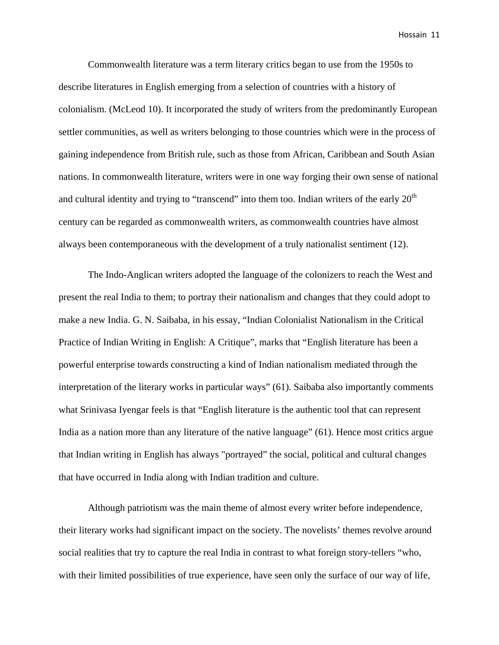Commonwealth literature was a term literary critics began to use from the 1950s to describe literatures in English emerging from a selection of countries with a history of colonialism. (McLeod 10). It incorporated the study of writers from the predominantly European settler communities, as well as writers belonging to those countries which were in the process of gaining independence from British rule, such as those from African, Caribbean and South Asian nations. In commonwealth literature, writers were in one way forging their own sense of national and cultural identity and trying to "transcend" into them too. Indian writers of the early  $20<sup>th</sup>$ century can be regarded as commonwealth writers, as commonwealth countries have almost always been contemporaneous with the development of a truly nationalist sentiment (12).

The Indo-Anglican writers adopted the language of the colonizers to reach the West and present the real India to them; to portray their nationalism and changes that they could adopt to make a new India. G. N. Saibaba, in his essay, "Indian Colonialist Nationalism in the Critical Practice of Indian Writing in English: A Critique", marks that "English literature has been a powerful enterprise towards constructing a kind of Indian nationalism mediated through the interpretation of the literary works in particular ways" (61). Saibaba also importantly comments what Srinivasa Iyengar feels is that "English literature is the authentic tool that can represent India as a nation more than any literature of the native language" (61). Hence most critics argue that Indian writing in English has always "portrayed" the social, political and cultural changes that have occurred in India along with Indian tradition and culture.

Although patriotism was the main theme of almost every writer before independence, their literary works had significant impact on the society. The novelists' themes revolve around social realities that try to capture the real India in contrast to what foreign story-tellers "who, with their limited possibilities of true experience, have seen only the surface of our way of life,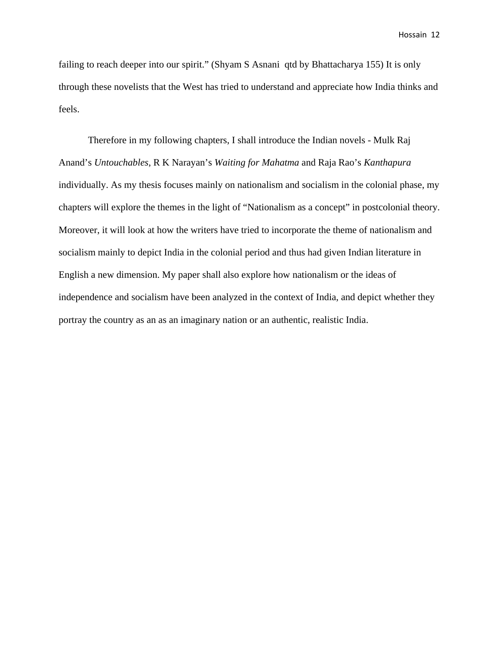failing to reach deeper into our spirit." (Shyam S Asnani qtd by Bhattacharya 155) It is only through these novelists that the West has tried to understand and appreciate how India thinks and feels.

Therefore in my following chapters, I shall introduce the Indian novels - Mulk Raj Anand's *Untouchables*, R K Narayan's *Waiting for Mahatma* and Raja Rao's *Kanthapura* individually. As my thesis focuses mainly on nationalism and socialism in the colonial phase, my chapters will explore the themes in the light of "Nationalism as a concept" in postcolonial theory. Moreover, it will look at how the writers have tried to incorporate the theme of nationalism and socialism mainly to depict India in the colonial period and thus had given Indian literature in English a new dimension. My paper shall also explore how nationalism or the ideas of independence and socialism have been analyzed in the context of India, and depict whether they portray the country as an as an imaginary nation or an authentic, realistic India.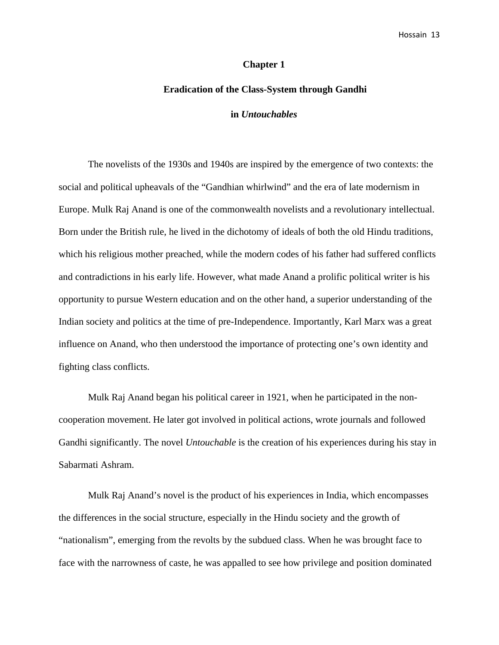#### **Chapter 1**

# **Eradication of the Class-System through Gandhi**

# **in** *Untouchables*

The novelists of the 1930s and 1940s are inspired by the emergence of two contexts: the social and political upheavals of the "Gandhian whirlwind" and the era of late modernism in Europe. Mulk Raj Anand is one of the commonwealth novelists and a revolutionary intellectual. Born under the British rule, he lived in the dichotomy of ideals of both the old Hindu traditions, which his religious mother preached, while the modern codes of his father had suffered conflicts and contradictions in his early life. However, what made Anand a prolific political writer is his opportunity to pursue Western education and on the other hand, a superior understanding of the Indian society and politics at the time of pre-Independence. Importantly, Karl Marx was a great influence on Anand, who then understood the importance of protecting one's own identity and fighting class conflicts.

Mulk Raj Anand began his political career in 1921, when he participated in the noncooperation movement. He later got involved in political actions, wrote journals and followed Gandhi significantly. The novel *Untouchable* is the creation of his experiences during his stay in Sabarmati Ashram.

Mulk Raj Anand's novel is the product of his experiences in India, which encompasses the differences in the social structure, especially in the Hindu society and the growth of "nationalism", emerging from the revolts by the subdued class. When he was brought face to face with the narrowness of caste, he was appalled to see how privilege and position dominated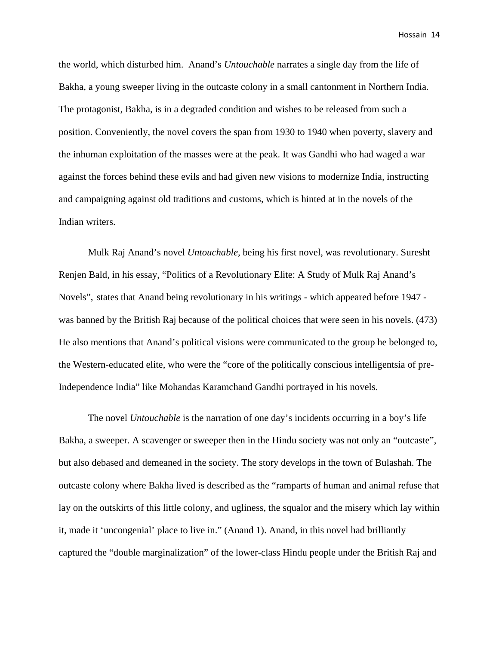the world, which disturbed him. Anand's *Untouchable* narrates a single day from the life of Bakha, a young sweeper living in the outcaste colony in a small cantonment in Northern India. The protagonist, Bakha, is in a degraded condition and wishes to be released from such a position. Conveniently, the novel covers the span from 1930 to 1940 when poverty, slavery and the inhuman exploitation of the masses were at the peak. It was Gandhi who had waged a war against the forces behind these evils and had given new visions to modernize India, instructing and campaigning against old traditions and customs, which is hinted at in the novels of the Indian writers.

Mulk Raj Anand's novel *Untouchable,* being his first novel, was revolutionary. Suresht Renjen Bald, in his essay, "Politics of a Revolutionary Elite: A Study of Mulk Raj Anand's Novels", states that Anand being revolutionary in his writings - which appeared before 1947 was banned by the British Raj because of the political choices that were seen in his novels. (473) He also mentions that Anand's political visions were communicated to the group he belonged to, the Western-educated elite, who were the "core of the politically conscious intelligentsia of pre-Independence India" like Mohandas Karamchand Gandhi portrayed in his novels.

The novel *Untouchable* is the narration of one day's incidents occurring in a boy's life Bakha, a sweeper. A scavenger or sweeper then in the Hindu society was not only an "outcaste", but also debased and demeaned in the society. The story develops in the town of Bulashah. The outcaste colony where Bakha lived is described as the "ramparts of human and animal refuse that lay on the outskirts of this little colony, and ugliness, the squalor and the misery which lay within it, made it 'uncongenial' place to live in." (Anand 1). Anand, in this novel had brilliantly captured the "double marginalization" of the lower-class Hindu people under the British Raj and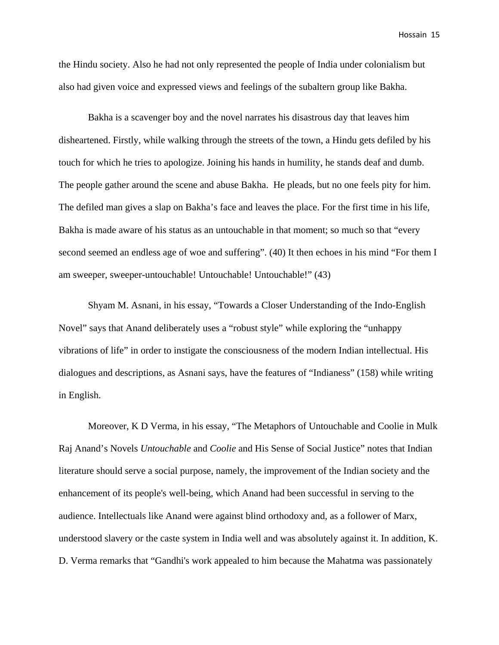the Hindu society. Also he had not only represented the people of India under colonialism but also had given voice and expressed views and feelings of the subaltern group like Bakha.

Bakha is a scavenger boy and the novel narrates his disastrous day that leaves him disheartened. Firstly, while walking through the streets of the town, a Hindu gets defiled by his touch for which he tries to apologize. Joining his hands in humility, he stands deaf and dumb. The people gather around the scene and abuse Bakha. He pleads, but no one feels pity for him. The defiled man gives a slap on Bakha's face and leaves the place. For the first time in his life, Bakha is made aware of his status as an untouchable in that moment; so much so that "every second seemed an endless age of woe and suffering". (40) It then echoes in his mind "For them I am sweeper, sweeper-untouchable! Untouchable! Untouchable!" (43)

Shyam M. Asnani, in his essay, "Towards a Closer Understanding of the Indo-English Novel" says that Anand deliberately uses a "robust style" while exploring the "unhappy vibrations of life" in order to instigate the consciousness of the modern Indian intellectual. His dialogues and descriptions, as Asnani says, have the features of "Indianess" (158) while writing in English.

 Moreover, K D Verma, in his essay, "The Metaphors of Untouchable and Coolie in Mulk Raj Anand's Novels *Untouchable* and *Coolie* and His Sense of Social Justice" notes that Indian literature should serve a social purpose, namely, the improvement of the Indian society and the enhancement of its people's well-being, which Anand had been successful in serving to the audience. Intellectuals like Anand were against blind orthodoxy and, as a follower of Marx, understood slavery or the caste system in India well and was absolutely against it. In addition, K. D. Verma remarks that "Gandhi's work appealed to him because the Mahatma was passionately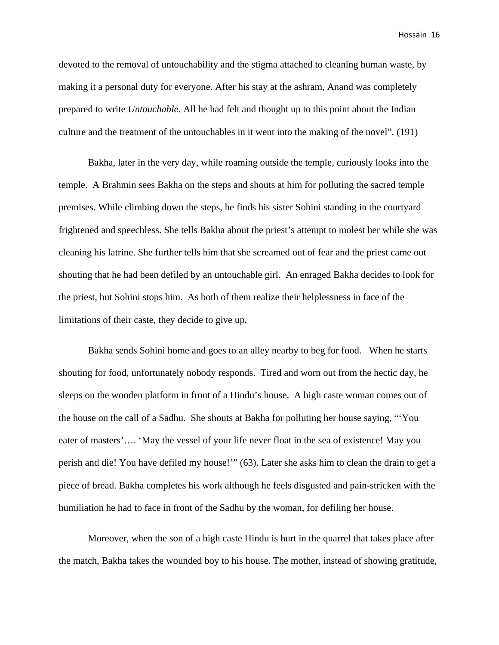devoted to the removal of untouchability and the stigma attached to cleaning human waste, by making it a personal duty for everyone. After his stay at the ashram, Anand was completely prepared to write *Untouchable*. All he had felt and thought up to this point about the Indian culture and the treatment of the untouchables in it went into the making of the novel". (191)

Bakha, later in the very day, while roaming outside the temple, curiously looks into the temple. A Brahmin sees Bakha on the steps and shouts at him for polluting the sacred temple premises. While climbing down the steps, he finds his sister Sohini standing in the courtyard frightened and speechless. She tells Bakha about the priest's attempt to molest her while she was cleaning his latrine. She further tells him that she screamed out of fear and the priest came out shouting that he had been defiled by an untouchable girl. An enraged Bakha decides to look for the priest, but Sohini stops him. As both of them realize their helplessness in face of the limitations of their caste, they decide to give up.

Bakha sends Sohini home and goes to an alley nearby to beg for food. When he starts shouting for food, unfortunately nobody responds. Tired and worn out from the hectic day, he sleeps on the wooden platform in front of a Hindu's house. A high caste woman comes out of the house on the call of a Sadhu. She shouts at Bakha for polluting her house saying, "'You eater of masters'…. 'May the vessel of your life never float in the sea of existence! May you perish and die! You have defiled my house!'" (63). Later she asks him to clean the drain to get a piece of bread. Bakha completes his work although he feels disgusted and pain-stricken with the humiliation he had to face in front of the Sadhu by the woman, for defiling her house.

Moreover, when the son of a high caste Hindu is hurt in the quarrel that takes place after the match, Bakha takes the wounded boy to his house. The mother, instead of showing gratitude,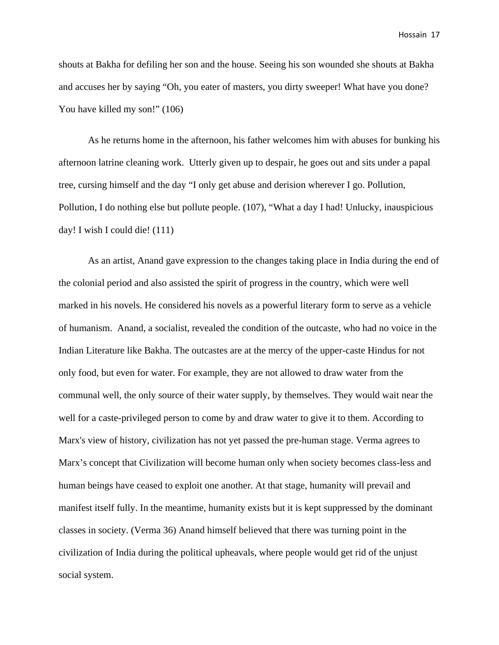shouts at Bakha for defiling her son and the house. Seeing his son wounded she shouts at Bakha and accuses her by saying "Oh, you eater of masters, you dirty sweeper! What have you done? You have killed my son!" (106)

As he returns home in the afternoon, his father welcomes him with abuses for bunking his afternoon latrine cleaning work. Utterly given up to despair, he goes out and sits under a papal tree, cursing himself and the day "I only get abuse and derision wherever I go. Pollution, Pollution, I do nothing else but pollute people. (107), "What a day I had! Unlucky, inauspicious day! I wish I could die! (111)

As an artist, Anand gave expression to the changes taking place in India during the end of the colonial period and also assisted the spirit of progress in the country, which were well marked in his novels. He considered his novels as a powerful literary form to serve as a vehicle of humanism. Anand, a socialist, revealed the condition of the outcaste, who had no voice in the Indian Literature like Bakha. The outcastes are at the mercy of the upper-caste Hindus for not only food, but even for water. For example, they are not allowed to draw water from the communal well, the only source of their water supply, by themselves. They would wait near the well for a caste-privileged person to come by and draw water to give it to them. According to Marx's view of history, civilization has not yet passed the pre-human stage. Verma agrees to Marx's concept that Civilization will become human only when society becomes class-less and human beings have ceased to exploit one another. At that stage, humanity will prevail and manifest itself fully. In the meantime, humanity exists but it is kept suppressed by the dominant classes in society. (Verma 36) Anand himself believed that there was turning point in the civilization of India during the political upheavals, where people would get rid of the unjust social system.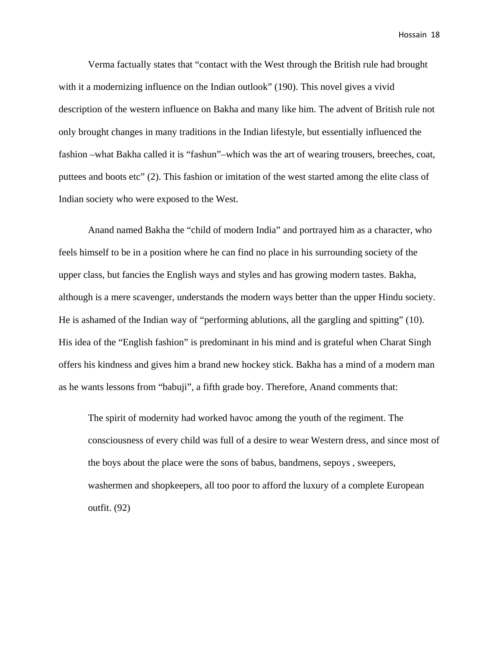Verma factually states that "contact with the West through the British rule had brought with it a modernizing influence on the Indian outlook" (190). This novel gives a vivid description of the western influence on Bakha and many like him. The advent of British rule not only brought changes in many traditions in the Indian lifestyle, but essentially influenced the fashion –what Bakha called it is "fashun"–which was the art of wearing trousers, breeches, coat, puttees and boots etc" (2). This fashion or imitation of the west started among the elite class of Indian society who were exposed to the West.

Anand named Bakha the "child of modern India" and portrayed him as a character, who feels himself to be in a position where he can find no place in his surrounding society of the upper class, but fancies the English ways and styles and has growing modern tastes. Bakha, although is a mere scavenger, understands the modern ways better than the upper Hindu society. He is ashamed of the Indian way of "performing ablutions, all the gargling and spitting" (10). His idea of the "English fashion" is predominant in his mind and is grateful when Charat Singh offers his kindness and gives him a brand new hockey stick. Bakha has a mind of a modern man as he wants lessons from "babuji", a fifth grade boy. Therefore, Anand comments that:

The spirit of modernity had worked havoc among the youth of the regiment. The consciousness of every child was full of a desire to wear Western dress, and since most of the boys about the place were the sons of babus, bandmens, sepoys , sweepers, washermen and shopkeepers, all too poor to afford the luxury of a complete European outfit. (92)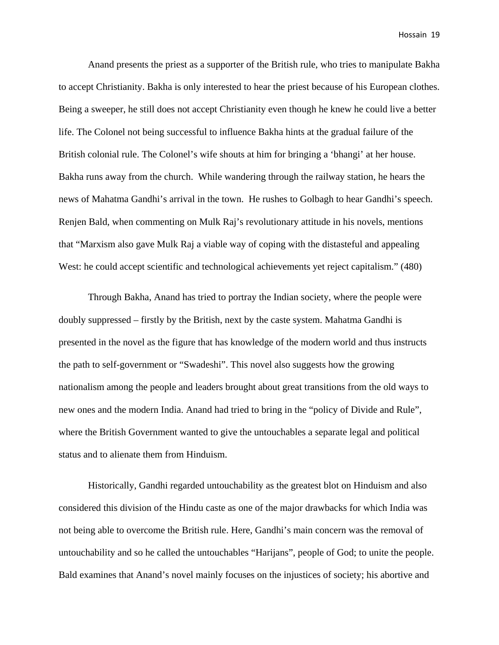Anand presents the priest as a supporter of the British rule, who tries to manipulate Bakha to accept Christianity. Bakha is only interested to hear the priest because of his European clothes. Being a sweeper, he still does not accept Christianity even though he knew he could live a better life. The Colonel not being successful to influence Bakha hints at the gradual failure of the British colonial rule. The Colonel's wife shouts at him for bringing a 'bhangi' at her house. Bakha runs away from the church. While wandering through the railway station, he hears the news of Mahatma Gandhi's arrival in the town. He rushes to Golbagh to hear Gandhi's speech. Renjen Bald, when commenting on Mulk Raj's revolutionary attitude in his novels, mentions that "Marxism also gave Mulk Raj a viable way of coping with the distasteful and appealing West: he could accept scientific and technological achievements yet reject capitalism." (480)

Through Bakha, Anand has tried to portray the Indian society, where the people were doubly suppressed – firstly by the British, next by the caste system. Mahatma Gandhi is presented in the novel as the figure that has knowledge of the modern world and thus instructs the path to self-government or "Swadeshi". This novel also suggests how the growing nationalism among the people and leaders brought about great transitions from the old ways to new ones and the modern India. Anand had tried to bring in the "policy of Divide and Rule", where the British Government wanted to give the untouchables a separate legal and political status and to alienate them from Hinduism.

Historically, Gandhi regarded untouchability as the greatest blot on Hinduism and also considered this division of the Hindu caste as one of the major drawbacks for which India was not being able to overcome the British rule. Here, Gandhi's main concern was the removal of untouchability and so he called the untouchables "Harijans", people of God; to unite the people. Bald examines that Anand's novel mainly focuses on the injustices of society; his abortive and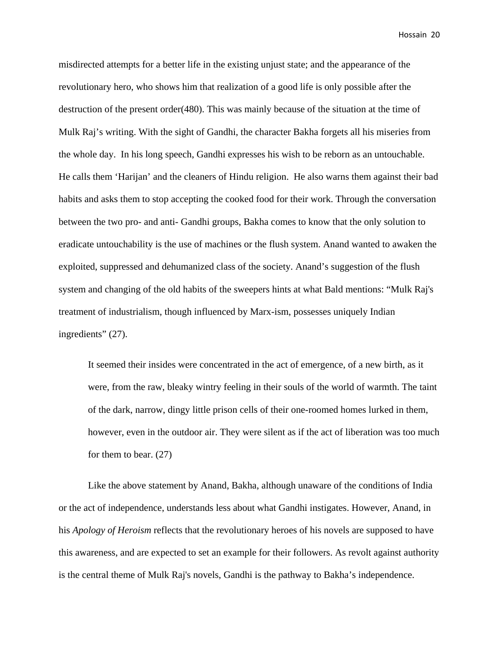misdirected attempts for a better life in the existing unjust state; and the appearance of the revolutionary hero, who shows him that realization of a good life is only possible after the destruction of the present order(480). This was mainly because of the situation at the time of Mulk Raj's writing. With the sight of Gandhi, the character Bakha forgets all his miseries from the whole day. In his long speech, Gandhi expresses his wish to be reborn as an untouchable. He calls them 'Harijan' and the cleaners of Hindu religion. He also warns them against their bad habits and asks them to stop accepting the cooked food for their work. Through the conversation between the two pro- and anti- Gandhi groups, Bakha comes to know that the only solution to eradicate untouchability is the use of machines or the flush system. Anand wanted to awaken the exploited, suppressed and dehumanized class of the society. Anand's suggestion of the flush system and changing of the old habits of the sweepers hints at what Bald mentions: "Mulk Raj's treatment of industrialism, though influenced by Marx-ism, possesses uniquely Indian ingredients" (27).

It seemed their insides were concentrated in the act of emergence, of a new birth, as it were, from the raw, bleaky wintry feeling in their souls of the world of warmth. The taint of the dark, narrow, dingy little prison cells of their one-roomed homes lurked in them, however, even in the outdoor air. They were silent as if the act of liberation was too much for them to bear. (27)

Like the above statement by Anand, Bakha, although unaware of the conditions of India or the act of independence, understands less about what Gandhi instigates. However, Anand, in his *Apology of Heroism* reflects that the revolutionary heroes of his novels are supposed to have this awareness, and are expected to set an example for their followers. As revolt against authority is the central theme of Mulk Raj's novels, Gandhi is the pathway to Bakha's independence.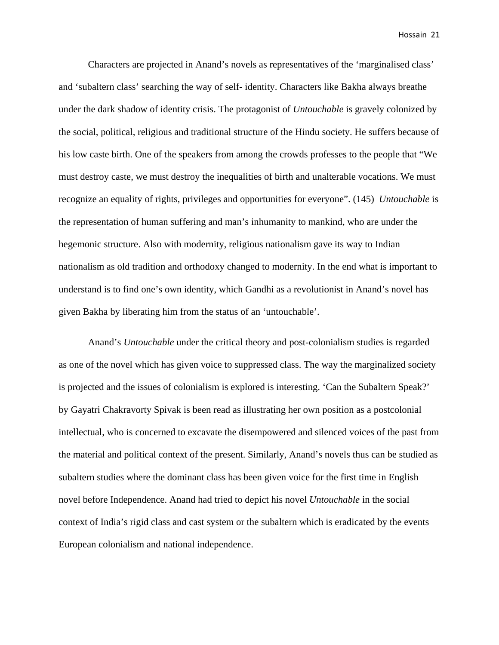Characters are projected in Anand's novels as representatives of the 'marginalised class' and 'subaltern class' searching the way of self- identity. Characters like Bakha always breathe under the dark shadow of identity crisis. The protagonist of *Untouchable* is gravely colonized by the social, political, religious and traditional structure of the Hindu society. He suffers because of his low caste birth. One of the speakers from among the crowds professes to the people that "We must destroy caste, we must destroy the inequalities of birth and unalterable vocations. We must recognize an equality of rights, privileges and opportunities for everyone". (145) *Untouchable* is the representation of human suffering and man's inhumanity to mankind, who are under the hegemonic structure. Also with modernity, religious nationalism gave its way to Indian nationalism as old tradition and orthodoxy changed to modernity. In the end what is important to understand is to find one's own identity, which Gandhi as a revolutionist in Anand's novel has given Bakha by liberating him from the status of an 'untouchable'.

Anand's *Untouchable* under the critical theory and post-colonialism studies is regarded as one of the novel which has given voice to suppressed class. The way the marginalized society is projected and the issues of colonialism is explored is interesting. 'Can the Subaltern Speak?' by Gayatri Chakravorty Spivak is been read as illustrating her own position as a postcolonial intellectual, who is concerned to excavate the disempowered and silenced voices of the past from the material and political context of the present. Similarly, Anand's novels thus can be studied as subaltern studies where the dominant class has been given voice for the first time in English novel before Independence. Anand had tried to depict his novel *Untouchable* in the social context of India's rigid class and cast system or the subaltern which is eradicated by the events European colonialism and national independence.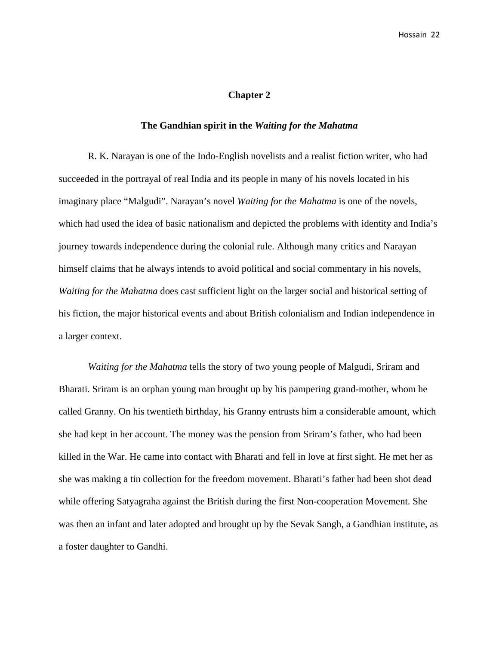#### **Chapter 2**

# **The Gandhian spirit in the** *Waiting for the Mahatma*

R. K. Narayan is one of the Indo-English novelists and a realist fiction writer, who had succeeded in the portrayal of real India and its people in many of his novels located in his imaginary place "Malgudi". Narayan's novel *Waiting for the Mahatma* is one of the novels, which had used the idea of basic nationalism and depicted the problems with identity and India's journey towards independence during the colonial rule. Although many critics and Narayan himself claims that he always intends to avoid political and social commentary in his novels, *Waiting for the Mahatma* does cast sufficient light on the larger social and historical setting of his fiction, the major historical events and about British colonialism and Indian independence in a larger context.

*Waiting for the Mahatma* tells the story of two young people of Malgudi, Sriram and Bharati. Sriram is an orphan young man brought up by his pampering grand-mother, whom he called Granny. On his twentieth birthday, his Granny entrusts him a considerable amount, which she had kept in her account. The money was the pension from Sriram's father, who had been killed in the War. He came into contact with Bharati and fell in love at first sight. He met her as she was making a tin collection for the freedom movement. Bharati's father had been shot dead while offering Satyagraha against the British during the first Non-cooperation Movement. She was then an infant and later adopted and brought up by the Sevak Sangh, a Gandhian institute, as a foster daughter to Gandhi.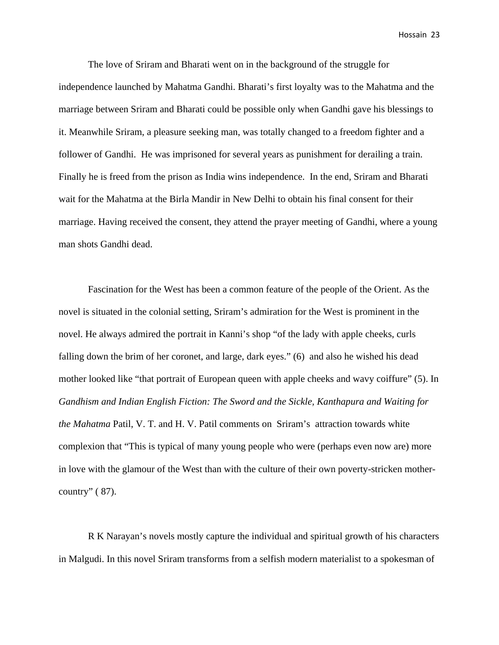The love of Sriram and Bharati went on in the background of the struggle for independence launched by Mahatma Gandhi. Bharati's first loyalty was to the Mahatma and the marriage between Sriram and Bharati could be possible only when Gandhi gave his blessings to it. Meanwhile Sriram, a pleasure seeking man, was totally changed to a freedom fighter and a follower of Gandhi. He was imprisoned for several years as punishment for derailing a train. Finally he is freed from the prison as India wins independence. In the end, Sriram and Bharati wait for the Mahatma at the Birla Mandir in New Delhi to obtain his final consent for their marriage. Having received the consent, they attend the prayer meeting of Gandhi, where a young man shots Gandhi dead.

Fascination for the West has been a common feature of the people of the Orient. As the novel is situated in the colonial setting, Sriram's admiration for the West is prominent in the novel. He always admired the portrait in Kanni's shop "of the lady with apple cheeks, curls falling down the brim of her coronet, and large, dark eyes." (6) and also he wished his dead mother looked like "that portrait of European queen with apple cheeks and wavy coiffure" (5). In *Gandhism and Indian English Fiction: The Sword and the Sickle, Kanthapura and Waiting for the Mahatma* Patil, V. T. and H. V. Patil comments on Sriram's attraction towards white complexion that "This is typical of many young people who were (perhaps even now are) more in love with the glamour of the West than with the culture of their own poverty-stricken mothercountry" ( 87).

R K Narayan's novels mostly capture the individual and spiritual growth of his characters in Malgudi. In this novel Sriram transforms from a selfish modern materialist to a spokesman of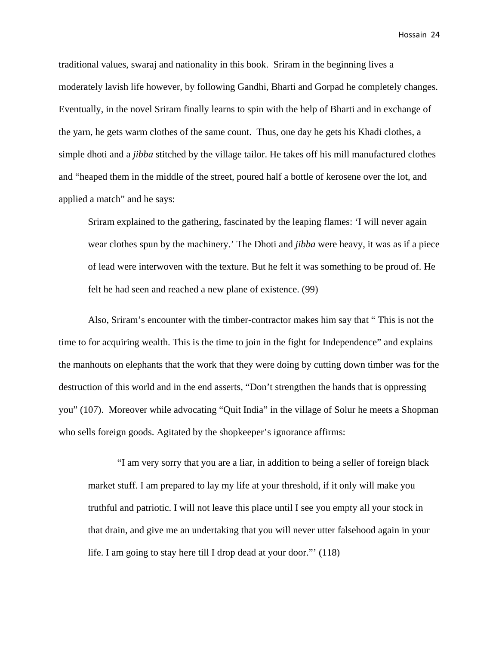traditional values, swaraj and nationality in this book. Sriram in the beginning lives a moderately lavish life however, by following Gandhi, Bharti and Gorpad he completely changes. Eventually, in the novel Sriram finally learns to spin with the help of Bharti and in exchange of the yarn, he gets warm clothes of the same count. Thus, one day he gets his Khadi clothes, a simple dhoti and a *jibba* stitched by the village tailor. He takes off his mill manufactured clothes and "heaped them in the middle of the street, poured half a bottle of kerosene over the lot, and applied a match" and he says:

Sriram explained to the gathering, fascinated by the leaping flames: 'I will never again wear clothes spun by the machinery.' The Dhoti and *jibba* were heavy, it was as if a piece of lead were interwoven with the texture. But he felt it was something to be proud of. He felt he had seen and reached a new plane of existence. (99)

Also, Sriram's encounter with the timber-contractor makes him say that " This is not the time to for acquiring wealth. This is the time to join in the fight for Independence" and explains the manhouts on elephants that the work that they were doing by cutting down timber was for the destruction of this world and in the end asserts, "Don't strengthen the hands that is oppressing you" (107). Moreover while advocating "Quit India" in the village of Solur he meets a Shopman who sells foreign goods. Agitated by the shopkeeper's ignorance affirms:

"I am very sorry that you are a liar, in addition to being a seller of foreign black market stuff. I am prepared to lay my life at your threshold, if it only will make you truthful and patriotic. I will not leave this place until I see you empty all your stock in that drain, and give me an undertaking that you will never utter falsehood again in your life. I am going to stay here till I drop dead at your door."' (118)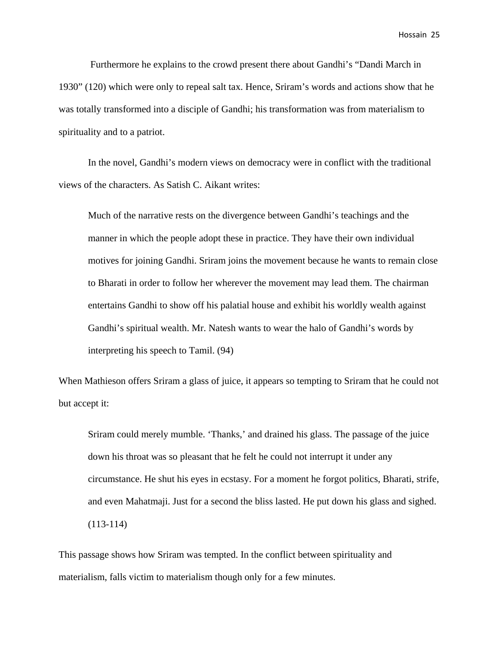Furthermore he explains to the crowd present there about Gandhi's "Dandi March in 1930" (120) which were only to repeal salt tax. Hence, Sriram's words and actions show that he was totally transformed into a disciple of Gandhi; his transformation was from materialism to spirituality and to a patriot.

In the novel, Gandhi's modern views on democracy were in conflict with the traditional views of the characters. As Satish C. Aikant writes:

Much of the narrative rests on the divergence between Gandhi's teachings and the manner in which the people adopt these in practice. They have their own individual motives for joining Gandhi. Sriram joins the movement because he wants to remain close to Bharati in order to follow her wherever the movement may lead them. The chairman entertains Gandhi to show off his palatial house and exhibit his worldly wealth against Gandhi's spiritual wealth. Mr. Natesh wants to wear the halo of Gandhi's words by interpreting his speech to Tamil. (94)

When Mathieson offers Sriram a glass of juice, it appears so tempting to Sriram that he could not but accept it:

Sriram could merely mumble. 'Thanks,' and drained his glass. The passage of the juice down his throat was so pleasant that he felt he could not interrupt it under any circumstance. He shut his eyes in ecstasy. For a moment he forgot politics, Bharati, strife, and even Mahatmaji. Just for a second the bliss lasted. He put down his glass and sighed. (113-114)

This passage shows how Sriram was tempted. In the conflict between spirituality and materialism, falls victim to materialism though only for a few minutes.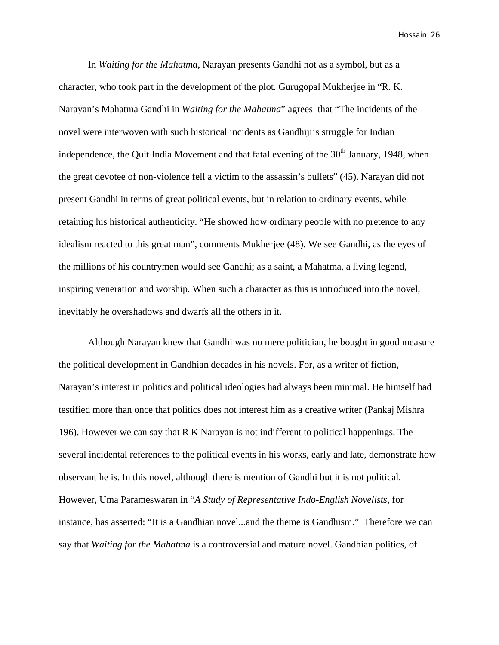In *Waiting for the Mahatma*, Narayan presents Gandhi not as a symbol, but as a character, who took part in the development of the plot. Gurugopal Mukherjee in "R. K. Narayan's Mahatma Gandhi in *Waiting for the Mahatma*" agrees that "The incidents of the novel were interwoven with such historical incidents as Gandhiji's struggle for Indian independence, the Quit India Movement and that fatal evening of the  $30<sup>th</sup>$  January, 1948, when the great devotee of non-violence fell a victim to the assassin's bullets" (45). Narayan did not present Gandhi in terms of great political events, but in relation to ordinary events, while retaining his historical authenticity. "He showed how ordinary people with no pretence to any idealism reacted to this great man", comments Mukherjee (48). We see Gandhi, as the eyes of the millions of his countrymen would see Gandhi; as a saint, a Mahatma, a living legend, inspiring veneration and worship. When such a character as this is introduced into the novel, inevitably he overshadows and dwarfs all the others in it.

Although Narayan knew that Gandhi was no mere politician, he bought in good measure the political development in Gandhian decades in his novels. For, as a writer of fiction, Narayan's interest in politics and political ideologies had always been minimal. He himself had testified more than once that politics does not interest him as a creative writer (Pankaj Mishra 196). However we can say that R K Narayan is not indifferent to political happenings. The several incidental references to the political events in his works, early and late, demonstrate how observant he is. In this novel, although there is mention of Gandhi but it is not political. However, Uma Parameswaran in "*A Study of Representative Indo-English Novelists,* for instance, has asserted: "It is a Gandhian novel...and the theme is Gandhism." Therefore we can say that *Waiting for the Mahatma* is a controversial and mature novel. Gandhian politics, of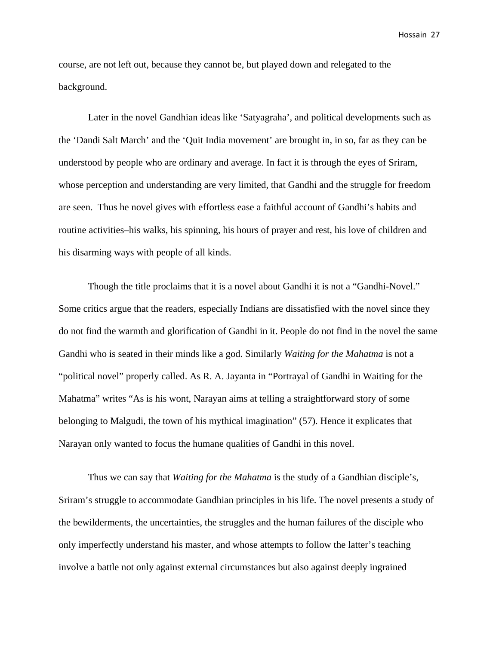course, are not left out, because they cannot be, but played down and relegated to the background.

Later in the novel Gandhian ideas like 'Satyagraha'*,* and political developments such as the 'Dandi Salt March' and the 'Quit India movement' are brought in, in so, far as they can be understood by people who are ordinary and average. In fact it is through the eyes of Sriram, whose perception and understanding are very limited, that Gandhi and the struggle for freedom are seen. Thus he novel gives with effortless ease a faithful account of Gandhi's habits and routine activities–his walks, his spinning, his hours of prayer and rest, his love of children and his disarming ways with people of all kinds.

Though the title proclaims that it is a novel about Gandhi it is not a "Gandhi-Novel." Some critics argue that the readers, especially Indians are dissatisfied with the novel since they do not find the warmth and glorification of Gandhi in it. People do not find in the novel the same Gandhi who is seated in their minds like a god. Similarly *Waiting for the Mahatma* is not a "political novel" properly called. As R. A. Jayanta in "Portrayal of Gandhi in Waiting for the Mahatma" writes "As is his wont, Narayan aims at telling a straightforward story of some belonging to Malgudi, the town of his mythical imagination" (57). Hence it explicates that Narayan only wanted to focus the humane qualities of Gandhi in this novel.

Thus we can say that *Waiting for the Mahatma* is the study of a Gandhian disciple's, Sriram's struggle to accommodate Gandhian principles in his life. The novel presents a study of the bewilderments, the uncertainties, the struggles and the human failures of the disciple who only imperfectly understand his master, and whose attempts to follow the latter's teaching involve a battle not only against external circumstances but also against deeply ingrained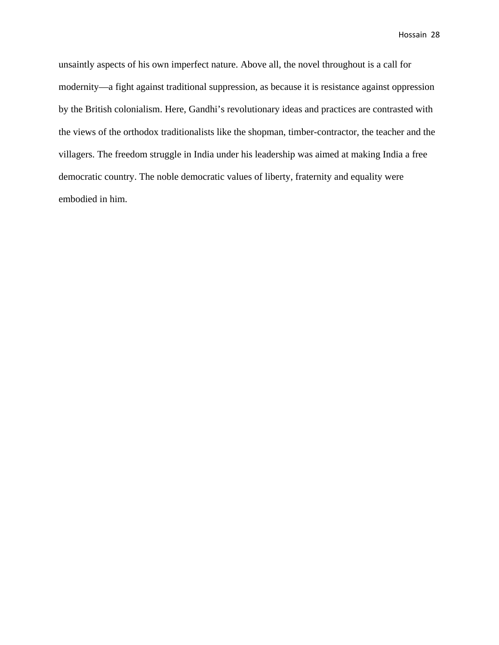unsaintly aspects of his own imperfect nature. Above all, the novel throughout is a call for modernity—a fight against traditional suppression, as because it is resistance against oppression by the British colonialism. Here, Gandhi's revolutionary ideas and practices are contrasted with the views of the orthodox traditionalists like the shopman, timber-contractor, the teacher and the villagers. The freedom struggle in India under his leadership was aimed at making India a free democratic country. The noble democratic values of liberty, fraternity and equality were embodied in him.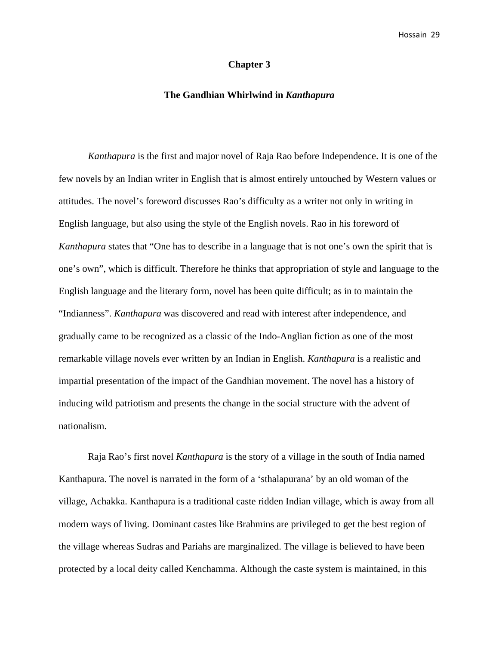# **Chapter 3**

## **The Gandhian Whirlwind in** *Kanthapura*

*Kanthapura* is the first and major novel of Raja Rao before Independence. It is one of the few novels by an Indian writer in English that is almost entirely untouched by Western values or attitudes. The novel's foreword discusses Rao's difficulty as a writer not only in writing in English language, but also using the style of the English novels. Rao in his foreword of *Kanthapura* states that "One has to describe in a language that is not one's own the spirit that is one's own", which is difficult. Therefore he thinks that appropriation of style and language to the English language and the literary form, novel has been quite difficult; as in to maintain the "Indianness". *Kanthapura* was discovered and read with interest after independence, and gradually came to be recognized as a classic of the Indo-Anglian fiction as one of the most remarkable village novels ever written by an Indian in English. *Kanthapura* is a realistic and impartial presentation of the impact of the Gandhian movement. The novel has a history of inducing wild patriotism and presents the change in the social structure with the advent of nationalism.

Raja Rao's first novel *Kanthapura* is the story of a village in the south of India named Kanthapura. The novel is narrated in the form of a 'sthalapurana' by an old woman of the village, Achakka. Kanthapura is a traditional caste ridden Indian village, which is away from all modern ways of living. Dominant castes like Brahmins are privileged to get the best region of the village whereas Sudras and Pariahs are marginalized. The village is believed to have been protected by a local deity called Kenchamma. Although the caste system is maintained, in this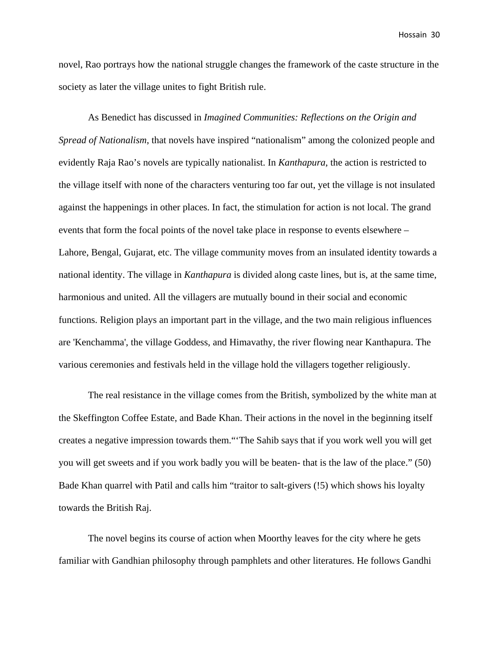novel, Rao portrays how the national struggle changes the framework of the caste structure in the society as later the village unites to fight British rule.

As Benedict has discussed in *Imagined Communities: Reflections on the Origin and Spread of Nationalism*, that novels have inspired "nationalism" among the colonized people and evidently Raja Rao's novels are typically nationalist. In *Kanthapura*, the action is restricted to the village itself with none of the characters venturing too far out, yet the village is not insulated against the happenings in other places. In fact, the stimulation for action is not local. The grand events that form the focal points of the novel take place in response to events elsewhere – Lahore, Bengal, Gujarat, etc. The village community moves from an insulated identity towards a national identity. The village in *Kanthapura* is divided along caste lines, but is, at the same time, harmonious and united. All the villagers are mutually bound in their social and economic functions. Religion plays an important part in the village, and the two main religious influences are 'Kenchamma', the village Goddess, and Himavathy, the river flowing near Kanthapura. The various ceremonies and festivals held in the village hold the villagers together religiously.

The real resistance in the village comes from the British, symbolized by the white man at the Skeffington Coffee Estate, and Bade Khan. Their actions in the novel in the beginning itself creates a negative impression towards them."'The Sahib says that if you work well you will get you will get sweets and if you work badly you will be beaten- that is the law of the place." (50) Bade Khan quarrel with Patil and calls him "traitor to salt-givers (!5) which shows his loyalty towards the British Raj.

The novel begins its course of action when Moorthy leaves for the city where he gets familiar with Gandhian philosophy through pamphlets and other literatures. He follows Gandhi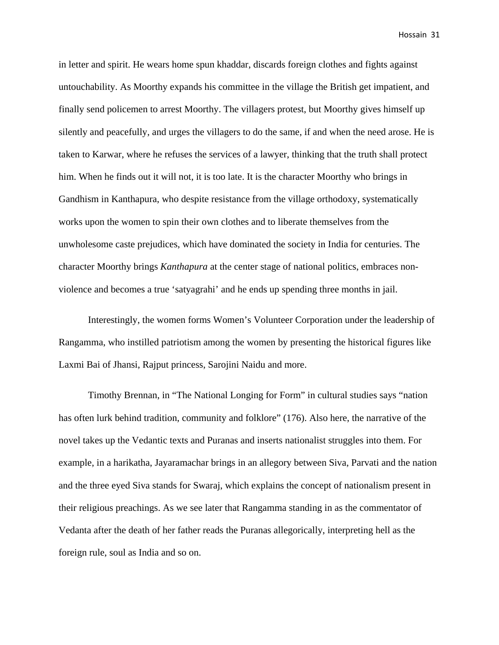in letter and spirit. He wears home spun khaddar, discards foreign clothes and fights against untouchability. As Moorthy expands his committee in the village the British get impatient, and finally send policemen to arrest Moorthy. The villagers protest, but Moorthy gives himself up silently and peacefully, and urges the villagers to do the same, if and when the need arose. He is taken to Karwar, where he refuses the services of a lawyer, thinking that the truth shall protect him. When he finds out it will not, it is too late. It is the character Moorthy who brings in Gandhism in Kanthapura, who despite resistance from the village orthodoxy, systematically works upon the women to spin their own clothes and to liberate themselves from the unwholesome caste prejudices, which have dominated the society in India for centuries. The character Moorthy brings *Kanthapura* at the center stage of national politics, embraces nonviolence and becomes a true 'satyagrahi' and he ends up spending three months in jail.

Interestingly, the women forms Women's Volunteer Corporation under the leadership of Rangamma, who instilled patriotism among the women by presenting the historical figures like Laxmi Bai of Jhansi, Rajput princess, Sarojini Naidu and more.

Timothy Brennan, in "The National Longing for Form" in cultural studies says "nation has often lurk behind tradition, community and folklore" (176). Also here, the narrative of the novel takes up the Vedantic texts and Puranas and inserts nationalist struggles into them. For example, in a harikatha, Jayaramachar brings in an allegory between Siva, Parvati and the nation and the three eyed Siva stands for Swaraj, which explains the concept of nationalism present in their religious preachings. As we see later that Rangamma standing in as the commentator of Vedanta after the death of her father reads the Puranas allegorically, interpreting hell as the foreign rule, soul as India and so on.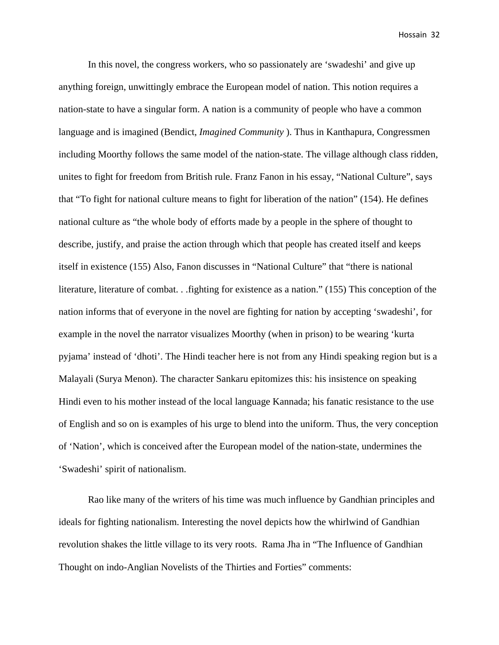In this novel, the congress workers, who so passionately are 'swadeshi' and give up anything foreign, unwittingly embrace the European model of nation. This notion requires a nation-state to have a singular form. A nation is a community of people who have a common language and is imagined (Bendict, *Imagined Community* ). Thus in Kanthapura, Congressmen including Moorthy follows the same model of the nation-state. The village although class ridden, unites to fight for freedom from British rule. Franz Fanon in his essay, "National Culture", says that "To fight for national culture means to fight for liberation of the nation" (154). He defines national culture as "the whole body of efforts made by a people in the sphere of thought to describe, justify, and praise the action through which that people has created itself and keeps itself in existence (155) Also, Fanon discusses in "National Culture" that "there is national literature, literature of combat. . .fighting for existence as a nation." (155) This conception of the nation informs that of everyone in the novel are fighting for nation by accepting 'swadeshi', for example in the novel the narrator visualizes Moorthy (when in prison) to be wearing 'kurta pyjama' instead of 'dhoti'. The Hindi teacher here is not from any Hindi speaking region but is a Malayali (Surya Menon). The character Sankaru epitomizes this: his insistence on speaking Hindi even to his mother instead of the local language Kannada; his fanatic resistance to the use of English and so on is examples of his urge to blend into the uniform. Thus, the very conception of 'Nation', which is conceived after the European model of the nation-state, undermines the 'Swadeshi' spirit of nationalism.

Rao like many of the writers of his time was much influence by Gandhian principles and ideals for fighting nationalism. Interesting the novel depicts how the whirlwind of Gandhian revolution shakes the little village to its very roots. Rama Jha in "The Influence of Gandhian Thought on indo-Anglian Novelists of the Thirties and Forties" comments: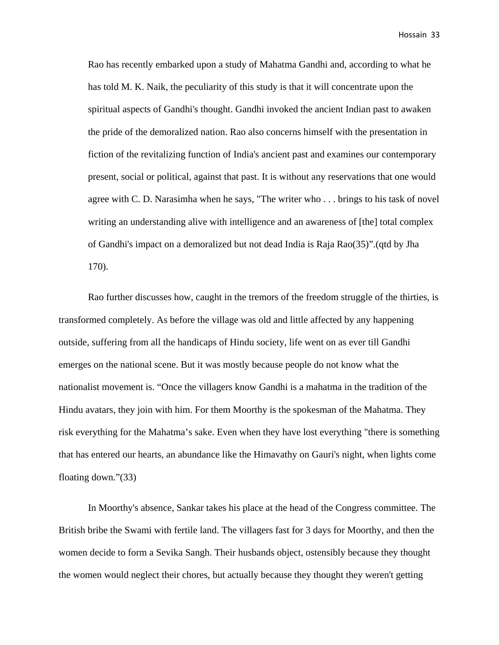Rao has recently embarked upon a study of Mahatma Gandhi and, according to what he has told M. K. Naik, the peculiarity of this study is that it will concentrate upon the spiritual aspects of Gandhi's thought. Gandhi invoked the ancient Indian past to awaken the pride of the demoralized nation. Rao also concerns himself with the presentation in fiction of the revitalizing function of India's ancient past and examines our contemporary present, social or political, against that past. It is without any reservations that one would agree with C. D. Narasimha when he says, "The writer who . . . brings to his task of novel writing an understanding alive with intelligence and an awareness of [the] total complex of Gandhi's impact on a demoralized but not dead India is Raja Rao(35)".(qtd by Jha 170).

Rao further discusses how, caught in the tremors of the freedom struggle of the thirties, is transformed completely. As before the village was old and little affected by any happening outside, suffering from all the handicaps of Hindu society, life went on as ever till Gandhi emerges on the national scene. But it was mostly because people do not know what the nationalist movement is. "Once the villagers know Gandhi is a mahatma in the tradition of the Hindu avatars, they join with him. For them Moorthy is the spokesman of the Mahatma. They risk everything for the Mahatma's sake. Even when they have lost everything "there is something that has entered our hearts, an abundance like the Himavathy on Gauri's night, when lights come floating down."(33)

In Moorthy's absence, Sankar takes his place at the head of the Congress committee. The British bribe the Swami with fertile land. The villagers fast for 3 days for Moorthy, and then the women decide to form a Sevika Sangh. Their husbands object, ostensibly because they thought the women would neglect their chores, but actually because they thought they weren't getting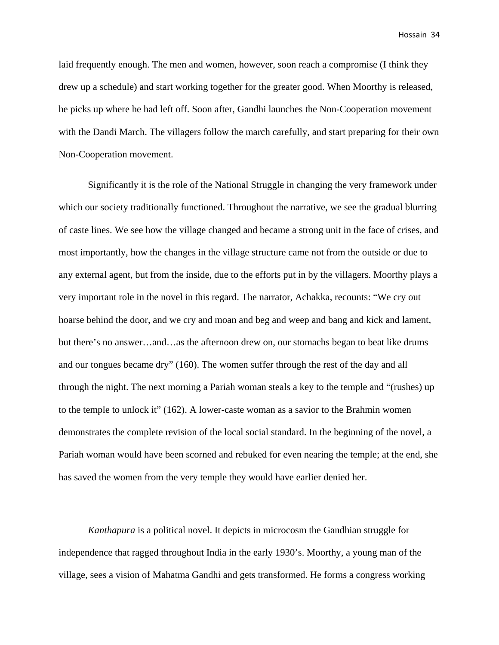laid frequently enough. The men and women, however, soon reach a compromise (I think they drew up a schedule) and start working together for the greater good. When Moorthy is released, he picks up where he had left off. Soon after, Gandhi launches the Non-Cooperation movement with the Dandi March. The villagers follow the march carefully, and start preparing for their own Non-Cooperation movement.

Significantly it is the role of the National Struggle in changing the very framework under which our society traditionally functioned. Throughout the narrative, we see the gradual blurring of caste lines. We see how the village changed and became a strong unit in the face of crises, and most importantly, how the changes in the village structure came not from the outside or due to any external agent, but from the inside, due to the efforts put in by the villagers. Moorthy plays a very important role in the novel in this regard. The narrator, Achakka, recounts: "We cry out hoarse behind the door, and we cry and moan and beg and weep and bang and kick and lament, but there's no answer…and…as the afternoon drew on, our stomachs began to beat like drums and our tongues became dry" (160). The women suffer through the rest of the day and all through the night. The next morning a Pariah woman steals a key to the temple and "(rushes) up to the temple to unlock it" (162). A lower-caste woman as a savior to the Brahmin women demonstrates the complete revision of the local social standard. In the beginning of the novel, a Pariah woman would have been scorned and rebuked for even nearing the temple; at the end, she has saved the women from the very temple they would have earlier denied her.

*Kanthapura* is a political novel. It depicts in microcosm the Gandhian struggle for independence that ragged throughout India in the early 1930's. Moorthy, a young man of the village, sees a vision of Mahatma Gandhi and gets transformed. He forms a congress working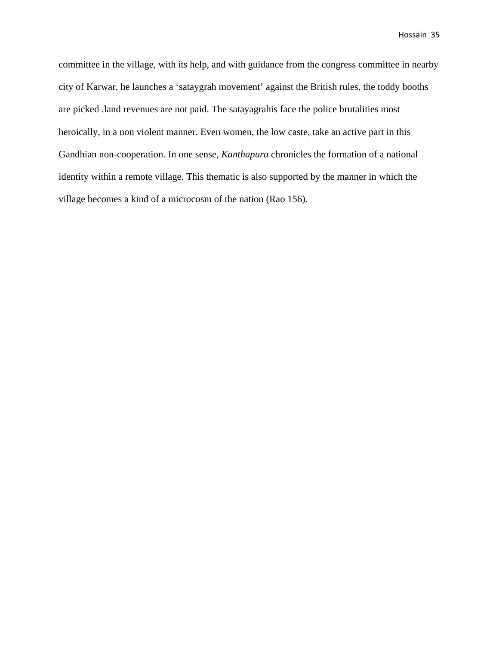committee in the village, with its help, and with guidance from the congress committee in nearby city of Karwar, he launches a 'sataygrah movement' against the British rules, the toddy booths are picked .land revenues are not paid. The satayagrahis face the police brutalities most heroically, in a non violent manner. Even women, the low caste, take an active part in this Gandhian non-cooperation. In one sense, *Kanthapura* chronicles the formation of a national identity within a remote village. This thematic is also supported by the manner in which the village becomes a kind of a microcosm of the nation (Rao 156).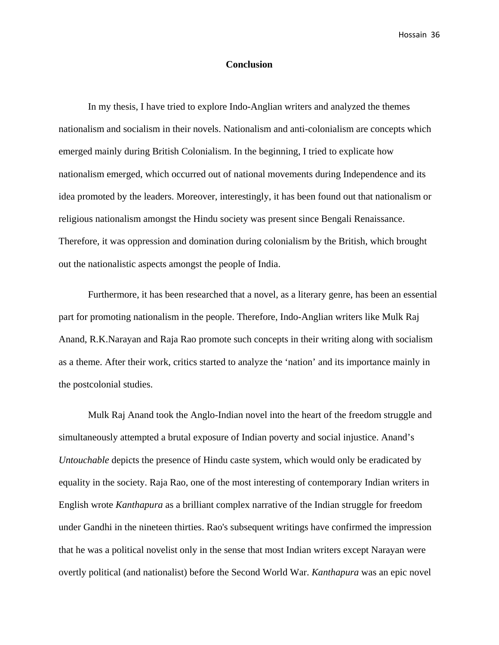#### **Conclusion**

In my thesis, I have tried to explore Indo-Anglian writers and analyzed the themes nationalism and socialism in their novels. Nationalism and anti-colonialism are concepts which emerged mainly during British Colonialism. In the beginning, I tried to explicate how nationalism emerged, which occurred out of national movements during Independence and its idea promoted by the leaders. Moreover, interestingly, it has been found out that nationalism or religious nationalism amongst the Hindu society was present since Bengali Renaissance. Therefore, it was oppression and domination during colonialism by the British, which brought out the nationalistic aspects amongst the people of India.

Furthermore, it has been researched that a novel, as a literary genre, has been an essential part for promoting nationalism in the people. Therefore, Indo-Anglian writers like Mulk Raj Anand, R.K.Narayan and Raja Rao promote such concepts in their writing along with socialism as a theme. After their work, critics started to analyze the 'nation' and its importance mainly in the postcolonial studies.

Mulk Raj Anand took the Anglo-Indian novel into the heart of the freedom struggle and simultaneously attempted a brutal exposure of Indian poverty and social injustice. Anand's *Untouchable* depicts the presence of Hindu caste system, which would only be eradicated by equality in the society. Raja Rao, one of the most interesting of contemporary Indian writers in English wrote *Kanthapura* as a brilliant complex narrative of the Indian struggle for freedom under Gandhi in the nineteen thirties. Rao's subsequent writings have confirmed the impression that he was a political novelist only in the sense that most Indian writers except Narayan were overtly political (and nationalist) before the Second World War. *Kanthapura* was an epic novel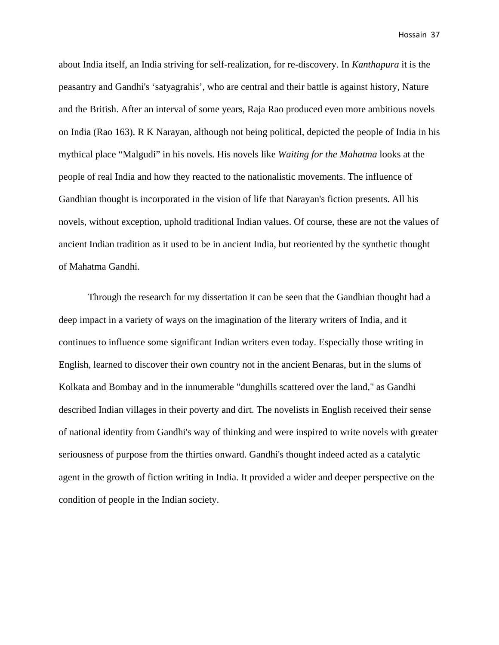about India itself, an India striving for self-realization, for re-discovery. In *Kanthapura* it is the peasantry and Gandhi's 'satyagrahis', who are central and their battle is against history, Nature and the British. After an interval of some years, Raja Rao produced even more ambitious novels on India (Rao 163). R K Narayan, although not being political, depicted the people of India in his mythical place "Malgudi" in his novels. His novels like *Waiting for the Mahatma* looks at the people of real India and how they reacted to the nationalistic movements. The influence of Gandhian thought is incorporated in the vision of life that Narayan's fiction presents. All his novels, without exception, uphold traditional Indian values. Of course, these are not the values of ancient Indian tradition as it used to be in ancient India, but reoriented by the synthetic thought of Mahatma Gandhi.

Through the research for my dissertation it can be seen that the Gandhian thought had a deep impact in a variety of ways on the imagination of the literary writers of India, and it continues to influence some significant Indian writers even today. Especially those writing in English, learned to discover their own country not in the ancient Benaras, but in the slums of Kolkata and Bombay and in the innumerable "dunghills scattered over the land," as Gandhi described Indian villages in their poverty and dirt. The novelists in English received their sense of national identity from Gandhi's way of thinking and were inspired to write novels with greater seriousness of purpose from the thirties onward. Gandhi's thought indeed acted as a catalytic agent in the growth of fiction writing in India. It provided a wider and deeper perspective on the condition of people in the Indian society.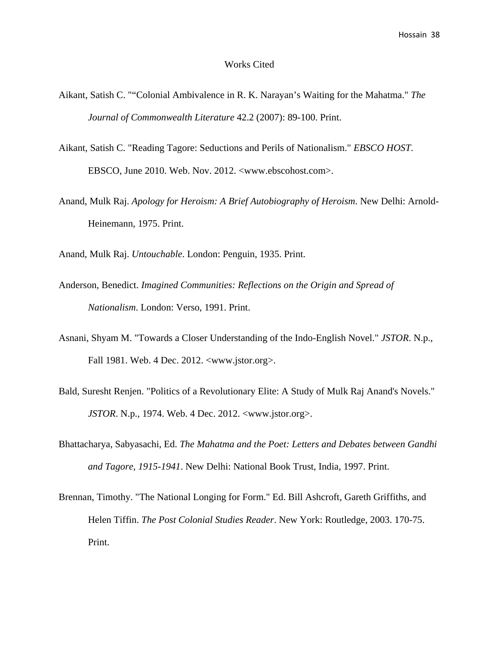#### Works Cited

- Aikant, Satish C. ""Colonial Ambivalence in R. K. Narayan's Waiting for the Mahatma." *The Journal of Commonwealth Literature* 42.2 (2007): 89-100. Print.
- Aikant, Satish C. "Reading Tagore: Seductions and Perils of Nationalism." *EBSCO HOST*. EBSCO, June 2010. Web. Nov. 2012. <www.ebscohost.com>.
- Anand, Mulk Raj. *Apology for Heroism: A Brief Autobiography of Heroism*. New Delhi: Arnold-Heinemann, 1975. Print.
- Anand, Mulk Raj. *Untouchable*. London: Penguin, 1935. Print.
- Anderson, Benedict. *Imagined Communities: Reflections on the Origin and Spread of Nationalism*. London: Verso, 1991. Print.
- Asnani, Shyam M. "Towards a Closer Understanding of the Indo-English Novel." *JSTOR*. N.p., Fall 1981. Web. 4 Dec. 2012. <www.jstor.org>.
- Bald, Suresht Renjen. "Politics of a Revolutionary Elite: A Study of Mulk Raj Anand's Novels." *JSTOR*. N.p., 1974. Web. 4 Dec. 2012. <www.jstor.org>.
- Bhattacharya, Sabyasachi, Ed. *The Mahatma and the Poet: Letters and Debates between Gandhi and Tagore, 1915-1941*. New Delhi: National Book Trust, India, 1997. Print.
- Brennan, Timothy. "The National Longing for Form." Ed. Bill Ashcroft, Gareth Griffiths, and Helen Tiffin. *The Post Colonial Studies Reader*. New York: Routledge, 2003. 170-75. Print.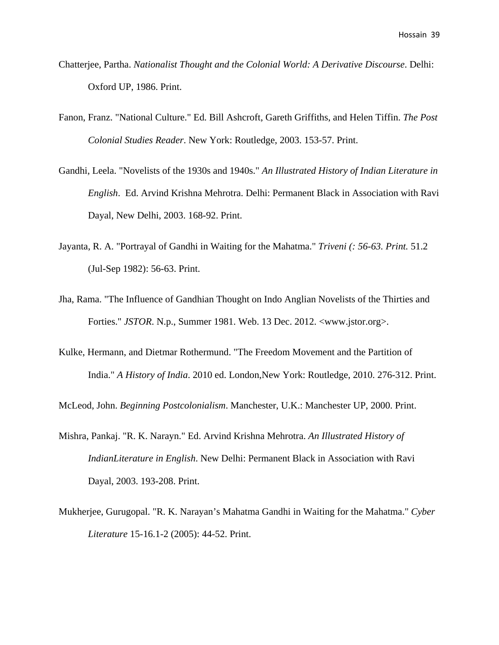- Chatterjee, Partha. *Nationalist Thought and the Colonial World: A Derivative Discourse*. Delhi: Oxford UP, 1986. Print.
- Fanon, Franz. "National Culture." Ed. Bill Ashcroft, Gareth Griffiths, and Helen Tiffin. *The Post Colonial Studies Reader*. New York: Routledge, 2003. 153-57. Print.
- Gandhi, Leela. "Novelists of the 1930s and 1940s." *An Illustrated History of Indian Literature in English*. Ed. Arvind Krishna Mehrotra. Delhi: Permanent Black in Association with Ravi Dayal, New Delhi, 2003. 168-92. Print.
- Jayanta, R. A. "Portrayal of Gandhi in Waiting for the Mahatma." *Triveni (: 56-63. Print.* 51.2 (Jul-Sep 1982): 56-63. Print.
- Jha, Rama. "The Influence of Gandhian Thought on Indo Anglian Novelists of the Thirties and Forties." *JSTOR*. N.p., Summer 1981. Web. 13 Dec. 2012. <www.jstor.org>.
- Kulke, Hermann, and Dietmar Rothermund. "The Freedom Movement and the Partition of India." *A History of India*. 2010 ed. London,New York: Routledge, 2010. 276-312. Print.

McLeod, John. *Beginning Postcolonialism*. Manchester, U.K.: Manchester UP, 2000. Print.

- Mishra, Pankaj. "R. K. Narayn." Ed. Arvind Krishna Mehrotra. *An Illustrated History of IndianLiterature in English*. New Delhi: Permanent Black in Association with Ravi Dayal, 2003. 193-208. Print.
- Mukherjee, Gurugopal. "R. K. Narayan's Mahatma Gandhi in Waiting for the Mahatma." *Cyber Literature* 15-16.1-2 (2005): 44-52. Print.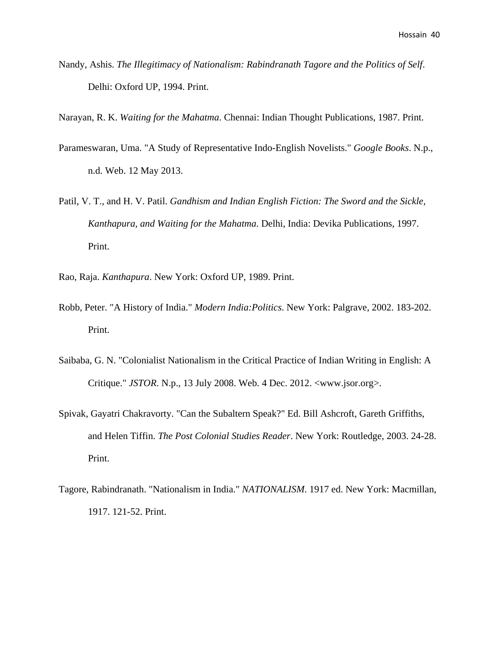Nandy, Ashis. *The Illegitimacy of Nationalism: Rabindranath Tagore and the Politics of Self*. Delhi: Oxford UP, 1994. Print.

Narayan, R. K. *Waiting for the Mahatma*. Chennai: Indian Thought Publications, 1987. Print.

- Parameswaran, Uma. "A Study of Representative Indo-English Novelists." *Google Books*. N.p., n.d. Web. 12 May 2013.
- Patil, V. T., and H. V. Patil. *Gandhism and Indian English Fiction: The Sword and the Sickle, Kanthapura, and Waiting for the Mahatma*. Delhi, India: Devika Publications, 1997. Print.
- Rao, Raja. *Kanthapura*. New York: Oxford UP, 1989. Print.
- Robb, Peter. "A History of India." *Modern India:Politics*. New York: Palgrave, 2002. 183-202. Print.
- Saibaba, G. N. "Colonialist Nationalism in the Critical Practice of Indian Writing in English: A Critique." *JSTOR*. N.p., 13 July 2008. Web. 4 Dec. 2012. <www.jsor.org>.
- Spivak, Gayatri Chakravorty. "Can the Subaltern Speak?" Ed. Bill Ashcroft, Gareth Griffiths, and Helen Tiffin. *The Post Colonial Studies Reader*. New York: Routledge, 2003. 24-28. Print.
- Tagore, Rabindranath. "Nationalism in India." *NATIONALISM*. 1917 ed. New York: Macmillan, 1917. 121-52. Print.